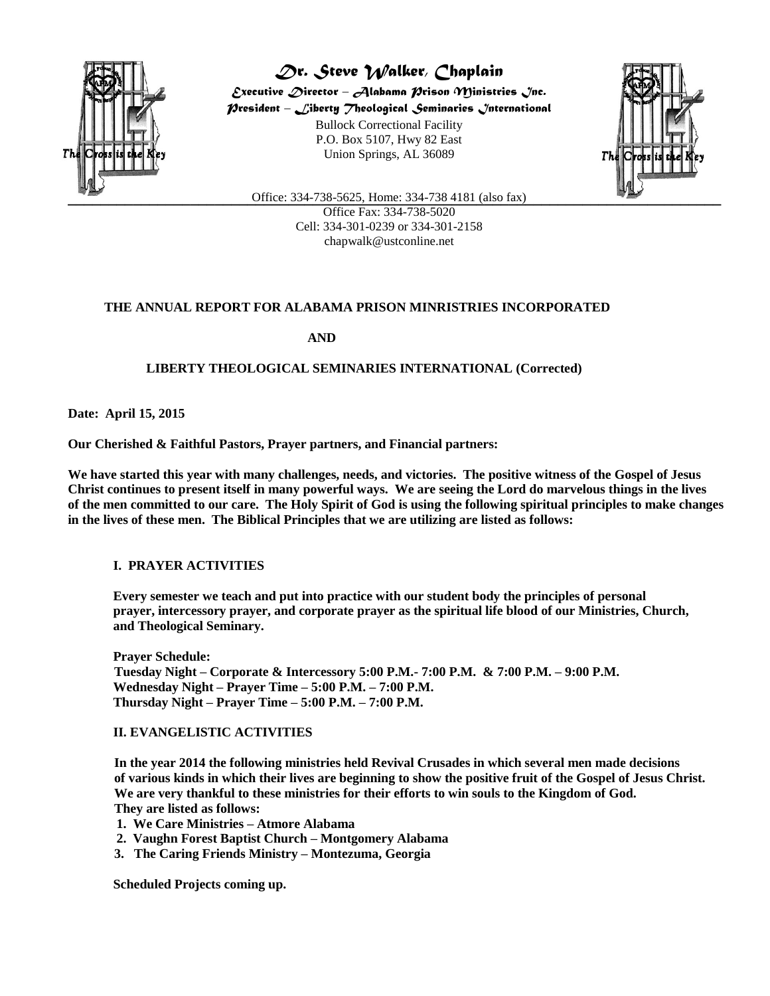

*Dr. Steve Walker, Chaplain Executive Director – Alabama Prison Ministries Inc. President – Liberty Theological Seminaries International* Bullock Correctional Facility P.O. Box 5107, Hwy 82 East Union Springs, AL 36089



**Example 12.1 Construct Constrains Constrains 12.1 Constrains Constrains 12.1 (also fax)** Office Fax: 334-738-5020 Cell: 334-301-0239 or 334-301-2158 chapwalk@ustconline.net

# **THE ANNUAL REPORT FOR ALABAMA PRISON MINRISTRIES INCORPORATED**

 **AND**

## **LIBERTY THEOLOGICAL SEMINARIES INTERNATIONAL (Corrected)**

**Date: April 15, 2015**

**Our Cherished & Faithful Pastors, Prayer partners, and Financial partners:**

**We have started this year with many challenges, needs, and victories. The positive witness of the Gospel of Jesus Christ continues to present itself in many powerful ways. We are seeing the Lord do marvelous things in the lives of the men committed to our care. The Holy Spirit of God is using the following spiritual principles to make changes in the lives of these men. The Biblical Principles that we are utilizing are listed as follows:**

## **I. PRAYER ACTIVITIES**

**Every semester we teach and put into practice with our student body the principles of personal prayer, intercessory prayer, and corporate prayer as the spiritual life blood of our Ministries, Church, and Theological Seminary.**

**Prayer Schedule: Tuesday Night – Corporate & Intercessory 5:00 P.M.- 7:00 P.M. & 7:00 P.M. – 9:00 P.M. Wednesday Night – Prayer Time – 5:00 P.M. – 7:00 P.M. Thursday Night – Prayer Time – 5:00 P.M. – 7:00 P.M.**

### **II. EVANGELISTIC ACTIVITIES**

 **In the year 2014 the following ministries held Revival Crusades in which several men made decisions of various kinds in which their lives are beginning to show the positive fruit of the Gospel of Jesus Christ. We are very thankful to these ministries for their efforts to win souls to the Kingdom of God. They are listed as follows:**

- **1. We Care Ministries – Atmore Alabama**
- **2. Vaughn Forest Baptist Church – Montgomery Alabama**
- **3. The Caring Friends Ministry – Montezuma, Georgia**

**Scheduled Projects coming up.**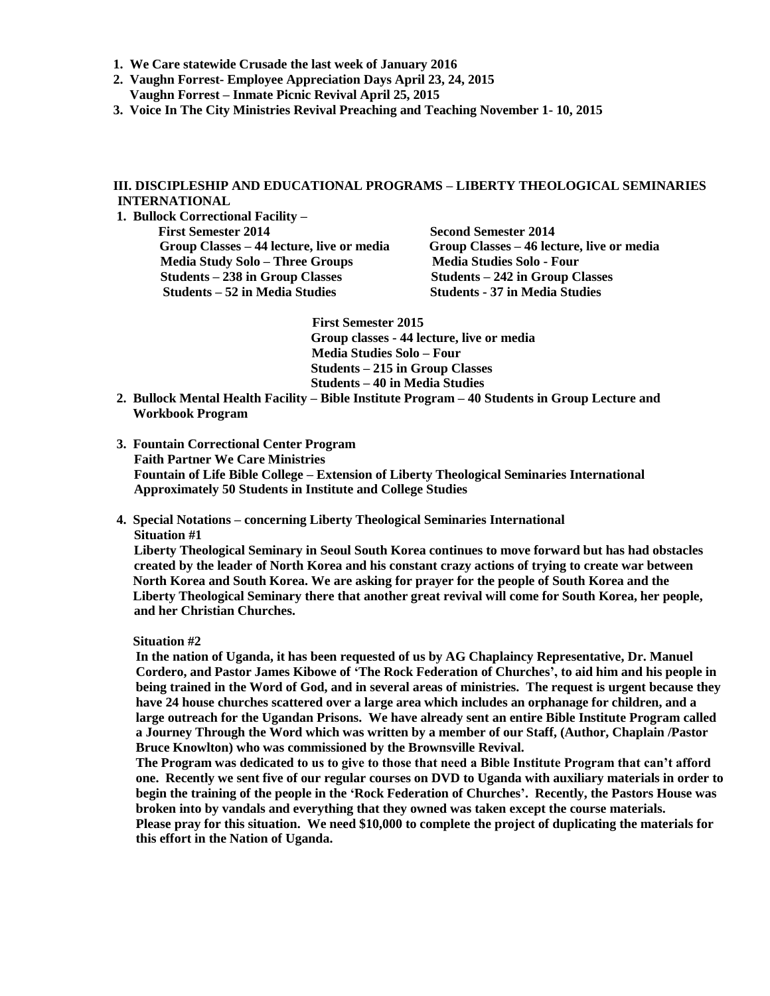- **1. We Care statewide Crusade the last week of January 2016**
- **2. Vaughn Forrest- Employee Appreciation Days April 23, 24, 2015**
- **Vaughn Forrest – Inmate Picnic Revival April 25, 2015**
- **3. Voice In The City Ministries Revival Preaching and Teaching November 1- 10, 2015**

### **III. DISCIPLESHIP AND EDUCATIONAL PROGRAMS – LIBERTY THEOLOGICAL SEMINARIES INTERNATIONAL**

**1. Bullock Correctional Facility –**

**First Semester 2014 Second Semester 2014 Group Classes – 44 lecture, live or media Group Classes – 46 lecture, live or media Media Study Solo – Three Groups Media Studies Solo - Four<br>
Students – 238 in Group Classes Students – 242 in Group Classes Students – 238 in Group Classes Students – 52 in Media Studies Students - 37 in Media Studies**

> **First Semester 2015 Group classes - 44 lecture, live or media Media Studies Solo – Four Students – 215 in Group Classes Students – 40 in Media Studies**

- **2. Bullock Mental Health Facility – Bible Institute Program – 40 Students in Group Lecture and Workbook Program**
- **3. Fountain Correctional Center Program Faith Partner We Care Ministries Fountain of Life Bible College – Extension of Liberty Theological Seminaries International Approximately 50 Students in Institute and College Studies**
- **4. Special Notations – concerning Liberty Theological Seminaries International Situation #1**

 **Liberty Theological Seminary in Seoul South Korea continues to move forward but has had obstacles created by the leader of North Korea and his constant crazy actions of trying to create war between North Korea and South Korea. We are asking for prayer for the people of South Korea and the Liberty Theological Seminary there that another great revival will come for South Korea, her people, and her Christian Churches.**

### **Situation #2**

**In the nation of Uganda, it has been requested of us by AG Chaplaincy Representative, Dr. Manuel Cordero, and Pastor James Kibowe of 'The Rock Federation of Churches', to aid him and his people in being trained in the Word of God, and in several areas of ministries. The request is urgent because they have 24 house churches scattered over a large area which includes an orphanage for children, and a large outreach for the Ugandan Prisons. We have already sent an entire Bible Institute Program called a Journey Through the Word which was written by a member of our Staff, (Author, Chaplain /Pastor Bruce Knowlton) who was commissioned by the Brownsville Revival.**

**The Program was dedicated to us to give to those that need a Bible Institute Program that can't afford one. Recently we sent five of our regular courses on DVD to Uganda with auxiliary materials in order to begin the training of the people in the 'Rock Federation of Churches'. Recently, the Pastors House was broken into by vandals and everything that they owned was taken except the course materials. Please pray for this situation. We need \$10,000 to complete the project of duplicating the materials for this effort in the Nation of Uganda.**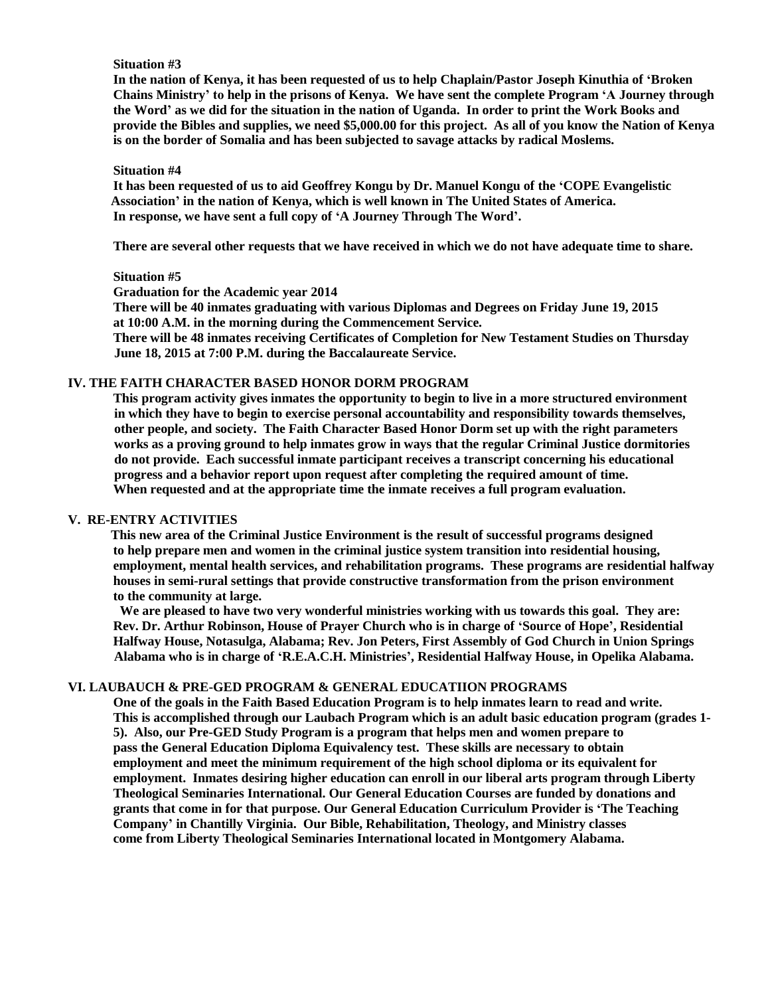### **Situation #3**

**In the nation of Kenya, it has been requested of us to help Chaplain/Pastor Joseph Kinuthia of 'Broken Chains Ministry' to help in the prisons of Kenya. We have sent the complete Program 'A Journey through the Word' as we did for the situation in the nation of Uganda. In order to print the Work Books and provide the Bibles and supplies, we need \$5,000.00 for this project. As all of you know the Nation of Kenya is on the border of Somalia and has been subjected to savage attacks by radical Moslems.**

#### **Situation #4**

**It has been requested of us to aid Geoffrey Kongu by Dr. Manuel Kongu of the 'COPE Evangelistic Association' in the nation of Kenya, which is well known in The United States of America. In response, we have sent a full copy of 'A Journey Through The Word'.**

**There are several other requests that we have received in which we do not have adequate time to share.**

#### **Situation #5**

**Graduation for the Academic year 2014**

**There will be 40 inmates graduating with various Diplomas and Degrees on Friday June 19, 2015 at 10:00 A.M. in the morning during the Commencement Service.**

**There will be 48 inmates receiving Certificates of Completion for New Testament Studies on Thursday June 18, 2015 at 7:00 P.M. during the Baccalaureate Service.**

## **IV. THE FAITH CHARACTER BASED HONOR DORM PROGRAM**

**This program activity gives inmates the opportunity to begin to live in a more structured environment in which they have to begin to exercise personal accountability and responsibility towards themselves, other people, and society. The Faith Character Based Honor Dorm set up with the right parameters works as a proving ground to help inmates grow in ways that the regular Criminal Justice dormitories do not provide. Each successful inmate participant receives a transcript concerning his educational progress and a behavior report upon request after completing the required amount of time. When requested and at the appropriate time the inmate receives a full program evaluation.**

## **V. RE-ENTRY ACTIVITIES**

 **This new area of the Criminal Justice Environment is the result of successful programs designed to help prepare men and women in the criminal justice system transition into residential housing, employment, mental health services, and rehabilitation programs. These programs are residential halfway houses in semi-rural settings that provide constructive transformation from the prison environment to the community at large.**

 **We are pleased to have two very wonderful ministries working with us towards this goal. They are: Rev. Dr. Arthur Robinson, House of Prayer Church who is in charge of 'Source of Hope', Residential Halfway House, Notasulga, Alabama; Rev. Jon Peters, First Assembly of God Church in Union Springs Alabama who is in charge of 'R.E.A.C.H. Ministries', Residential Halfway House, in Opelika Alabama.**

### **VI. LAUBAUCH & PRE-GED PROGRAM & GENERAL EDUCATIION PROGRAMS**

**One of the goals in the Faith Based Education Program is to help inmates learn to read and write. This is accomplished through our Laubach Program which is an adult basic education program (grades 1- 5). Also, our Pre-GED Study Program is a program that helps men and women prepare to pass the General Education Diploma Equivalency test. These skills are necessary to obtain employment and meet the minimum requirement of the high school diploma or its equivalent for employment. Inmates desiring higher education can enroll in our liberal arts program through Liberty Theological Seminaries International. Our General Education Courses are funded by donations and grants that come in for that purpose. Our General Education Curriculum Provider is 'The Teaching Company' in Chantilly Virginia. Our Bible, Rehabilitation, Theology, and Ministry classes come from Liberty Theological Seminaries International located in Montgomery Alabama.**